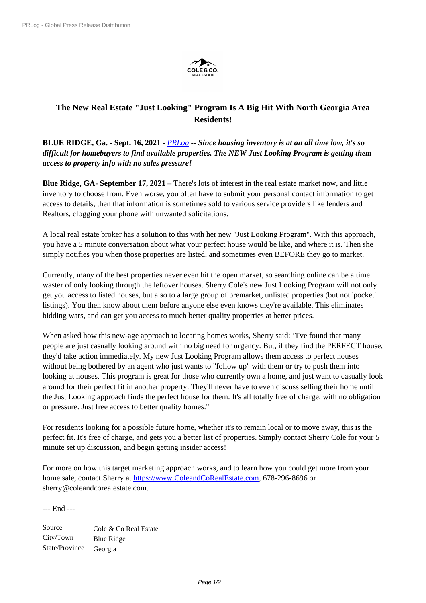

## **The New Real Estate "Just Looking" Program Is A Big Hit With North Georgia Area Residents!**

**BLUE RIDGE, Ga.** - **Sept. 16, 2021** - *PRLog* -- *Since housing inventory is at an all time low, it's so difficult for homebuyers to find available properties. The NEW Just Looking Program is getting them access to property info with no sales pressure!*

**Blue Ridge, GA- September 17, 2021 –** There's lots of interest in the real estate market now, and little inventory to choose from. Even worse, you often have to submit your personal contact information to get access to details, then that information is sometimes sold to various service providers like lenders and Realtors, clogging your phone with unwanted solicitations.

A local real estate broker has a solution to this with her new "Just Looking Program". With this approach, you have a 5 minute conversation about what your perfect house would be like, and where it is. Then she simply notifies you when those properties are listed, and sometimes even BEFORE they go to market.

Currently, many of the best properties never even hit the open market, so searching online can be a time waster of only looking through the leftover houses. Sherry Cole's new Just Looking Program will not only get you access to listed houses, but also to a large group of premarket, unlisted properties (but not 'pocket' listings). You then know about them before anyone else even knows they're available. This eliminates bidding wars, and can get you access to much better quality properties at better prices.

When asked how this new-age approach to locating homes works, Sherry said: *"*I've found that many people are just casually looking around with no big need for urgency. But, if they find the PERFECT house, they'd take action immediately. My new Just Looking Program allows them access to perfect houses without being bothered by an agent who just wants to "follow up" with them or try to push them into looking at houses. This program is great for those who currently own a home, and just want to casually look around for their perfect fit in another property. They'll never have to even discuss selling their home until the Just Looking approach finds the perfect house for them. It's all totally free of charge, with no obligation or pressure. Just free access to better quality homes."

For residents looking for a possible future home, whether it's to remain local or to move away, this is the perfect fit. It's free of charge, and gets you a better list of properties. Simply contact Sherry Cole for your 5 minute set up discussion, and begin getting insider access!

For more on how this target marketing approach works, and to learn how you could get more from your home sale, contact Sherry at https://www.ColeandCoRealEstate.com, 678-296-8696 or sherry@coleandcorealestate.com.

--- End ---

Source Cole & Co Real Estate City/Town Blue Ridge State/Province Georgia